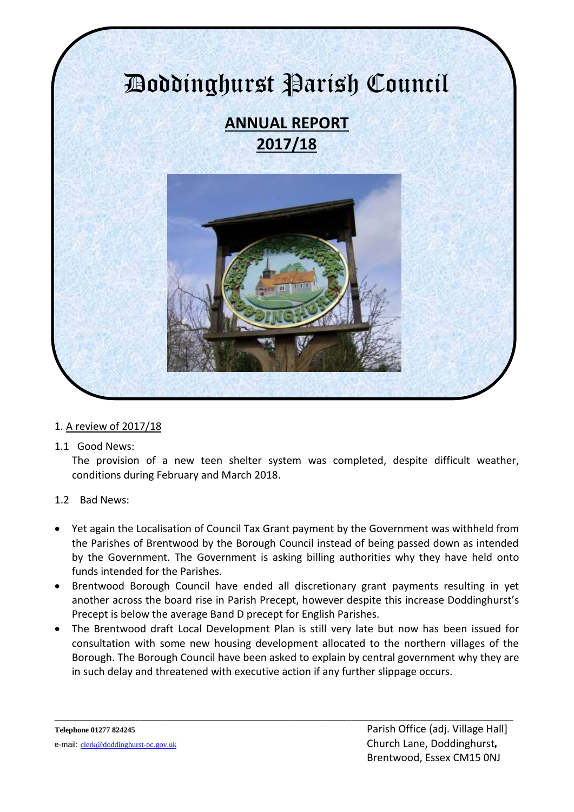

- 1. A review of 2017/18
- 1.1 Good News:

The provision of a new teen shelter system was completed, despite difficult weather, conditions during February and March 2018.

- 1.2 Bad News:
- Yet again the Localisation of Council Tax Grant payment by the Government was withheld from the Parishes of Brentwood by the Borough Council instead of being passed down as intended by the Government. The Government is asking billing authorities why they have held onto funds intended for the Parishes.
- Brentwood Borough Council have ended all discretionary grant payments resulting in yet another across the board rise in Parish Precept, however despite this increase Doddinghurst's Precept is below the average Band D precept for English Parishes.
- The Brentwood draft Local Development Plan is still very late but now has been issued for consultation with some new housing development allocated to the northern villages of the Borough. The Borough Council have been asked to explain by central government why they are in such delay and threatened with executive action if any further slippage occurs.

**\_\_\_\_\_\_\_\_\_\_\_\_\_\_\_\_\_\_\_\_\_\_\_\_\_\_\_\_\_\_\_\_\_\_\_\_\_\_\_\_\_\_\_\_\_\_\_\_\_\_\_\_\_\_\_\_\_\_\_\_\_\_\_\_\_\_\_\_\_\_\_\_\_\_\_\_\_\_\_\_\_\_\_\_\_\_\_\_\_\_\_\_\_\_\_\_\_\_\_\_\_\_\_\_\_\_\_\_\_\_\_\_\_\_\_\_\_\_\_**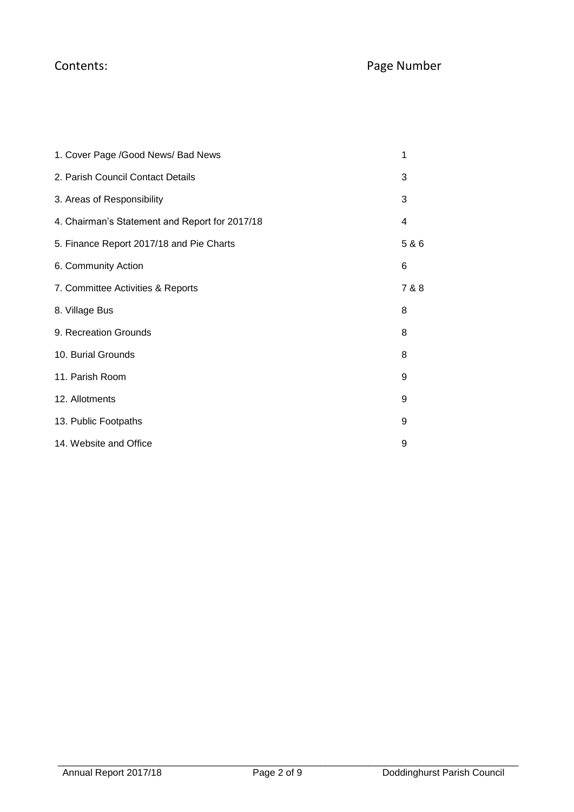| 1. Cover Page /Good News/ Bad News             | 1     |
|------------------------------------------------|-------|
| 2. Parish Council Contact Details              | 3     |
| 3. Areas of Responsibility                     | 3     |
| 4. Chairman's Statement and Report for 2017/18 | 4     |
| 5. Finance Report 2017/18 and Pie Charts       | 5 & 6 |
| 6. Community Action                            | 6     |
| 7. Committee Activities & Reports              | 7 & 8 |
| 8. Village Bus                                 | 8     |
| 9. Recreation Grounds                          | 8     |
| 10. Burial Grounds                             | 8     |
| 11. Parish Room                                | 9     |
| 12. Allotments                                 | 9     |
| 13. Public Footpaths                           | 9     |
| 14. Website and Office                         | 9     |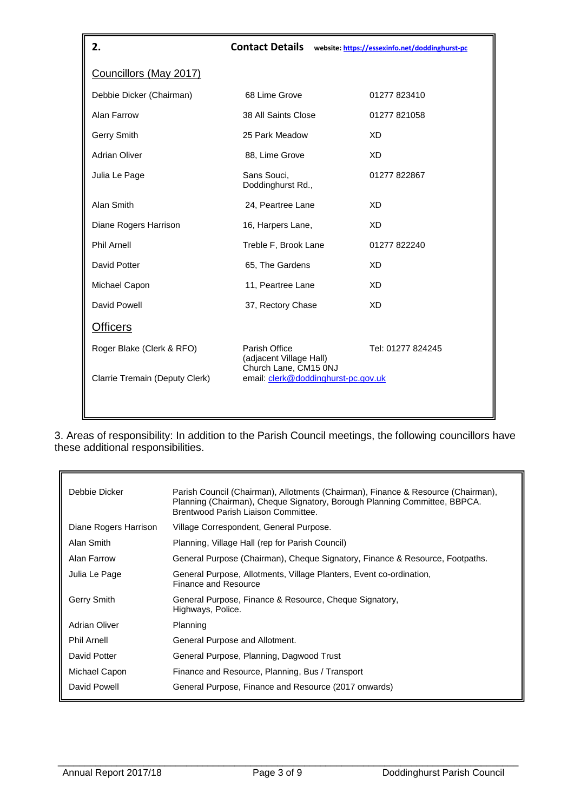| 2.                             | <b>Contact Details</b>                                            | website: https://essexinfo.net/doddinghurst-pc |
|--------------------------------|-------------------------------------------------------------------|------------------------------------------------|
| Councillors (May 2017)         |                                                                   |                                                |
| Debbie Dicker (Chairman)       | 68 Lime Grove                                                     | 01277 823410                                   |
| Alan Farrow                    | 38 All Saints Close                                               | 01277 821058                                   |
| Gerry Smith                    | 25 Park Meadow                                                    | <b>XD</b>                                      |
| <b>Adrian Oliver</b>           | 88, Lime Grove                                                    | <b>XD</b>                                      |
| Julia Le Page                  | Sans Souci,<br>Doddinghurst Rd.,                                  | 01277 822867                                   |
| Alan Smith                     | 24, Peartree Lane                                                 | <b>XD</b>                                      |
| Diane Rogers Harrison          | 16, Harpers Lane,                                                 | <b>XD</b>                                      |
| <b>Phil Arnell</b>             | Treble F, Brook Lane                                              | 01277 822240                                   |
| David Potter                   | 65, The Gardens                                                   | <b>XD</b>                                      |
| Michael Capon                  | 11, Peartree Lane                                                 | XD.                                            |
| David Powell                   | 37, Rectory Chase                                                 | XD.                                            |
| <b>Officers</b>                |                                                                   |                                                |
| Roger Blake (Clerk & RFO)      | Parish Office<br>(adjacent Village Hall)<br>Church Lane, CM15 0NJ | Tel: 01277 824245                              |
| Clarrie Tremain (Deputy Clerk) | email: clerk@doddinghurst-pc.gov.uk                               |                                                |

3. Areas of responsibility: In addition to the Parish Council meetings, the following councillors have these additional responsibilities.

| Debbie Dicker         | Parish Council (Chairman), Allotments (Chairman), Finance & Resource (Chairman),<br>Planning (Chairman), Cheque Signatory, Borough Planning Committee, BBPCA.<br>Brentwood Parish Liaison Committee. |
|-----------------------|------------------------------------------------------------------------------------------------------------------------------------------------------------------------------------------------------|
| Diane Rogers Harrison | Village Correspondent, General Purpose.                                                                                                                                                              |
| Alan Smith            | Planning, Village Hall (rep for Parish Council)                                                                                                                                                      |
| Alan Farrow           | General Purpose (Chairman), Cheque Signatory, Finance & Resource, Footpaths.                                                                                                                         |
| Julia Le Page         | General Purpose, Allotments, Village Planters, Event co-ordination,<br>Finance and Resource                                                                                                          |
| Gerry Smith           | General Purpose, Finance & Resource, Cheque Signatory,<br>Highways, Police.                                                                                                                          |
| Adrian Oliver         | Planning                                                                                                                                                                                             |
| <b>Phil Arnell</b>    | General Purpose and Allotment.                                                                                                                                                                       |
| David Potter          | General Purpose, Planning, Dagwood Trust                                                                                                                                                             |
| Michael Capon         | Finance and Resource, Planning, Bus / Transport                                                                                                                                                      |
| David Powell          | General Purpose, Finance and Resource (2017 onwards)                                                                                                                                                 |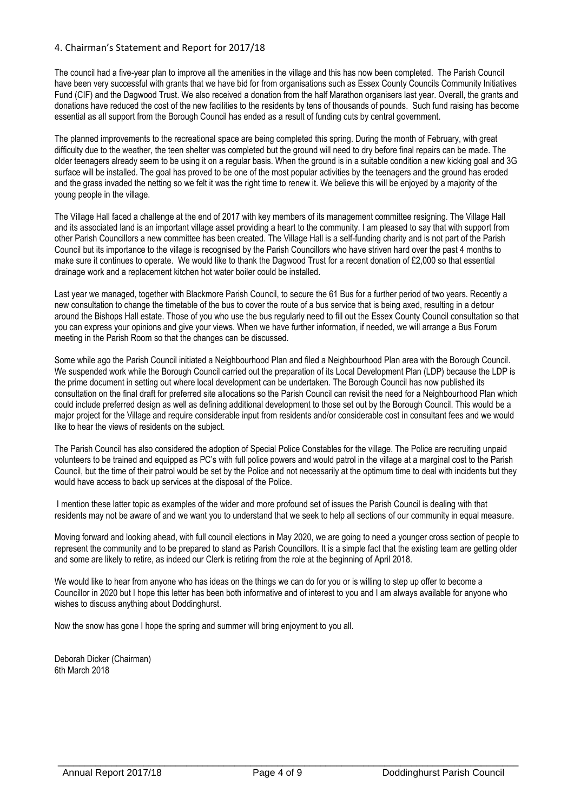## 4. Chairman's Statement and Report for 2017/18

The council had a five-year plan to improve all the amenities in the village and this has now been completed. The Parish Council have been very successful with grants that we have bid for from organisations such as Essex County Councils Community Initiatives Fund (CIF) and the Dagwood Trust. We also received a donation from the half Marathon organisers last year. Overall, the grants and donations have reduced the cost of the new facilities to the residents by tens of thousands of pounds. Such fund raising has become essential as all support from the Borough Council has ended as a result of funding cuts by central government.

The planned improvements to the recreational space are being completed this spring. During the month of February, with great difficulty due to the weather, the teen shelter was completed but the ground will need to dry before final repairs can be made. The older teenagers already seem to be using it on a regular basis. When the ground is in a suitable condition a new kicking goal and 3G surface will be installed. The goal has proved to be one of the most popular activities by the teenagers and the ground has eroded and the grass invaded the netting so we felt it was the right time to renew it. We believe this will be enjoyed by a majority of the young people in the village.

The Village Hall faced a challenge at the end of 2017 with key members of its management committee resigning. The Village Hall and its associated land is an important village asset providing a heart to the community. I am pleased to say that with support from other Parish Councillors a new committee has been created. The Village Hall is a self-funding charity and is not part of the Parish Council but its importance to the village is recognised by the Parish Councillors who have striven hard over the past 4 months to make sure it continues to operate. We would like to thank the Dagwood Trust for a recent donation of £2,000 so that essential drainage work and a replacement kitchen hot water boiler could be installed.

Last year we managed, together with Blackmore Parish Council, to secure the 61 Bus for a further period of two years. Recently a new consultation to change the timetable of the bus to cover the route of a bus service that is being axed, resulting in a detour around the Bishops Hall estate. Those of you who use the bus regularly need to fill out the Essex County Council consultation so that you can express your opinions and give your views. When we have further information, if needed, we will arrange a Bus Forum meeting in the Parish Room so that the changes can be discussed.

Some while ago the Parish Council initiated a Neighbourhood Plan and filed a Neighbourhood Plan area with the Borough Council. We suspended work while the Borough Council carried out the preparation of its Local Development Plan (LDP) because the LDP is the prime document in setting out where local development can be undertaken. The Borough Council has now published its consultation on the final draft for preferred site allocations so the Parish Council can revisit the need for a Neighbourhood Plan which could include preferred design as well as defining additional development to those set out by the Borough Council. This would be a major project for the Village and require considerable input from residents and/or considerable cost in consultant fees and we would like to hear the views of residents on the subject.

The Parish Council has also considered the adoption of Special Police Constables for the village. The Police are recruiting unpaid volunteers to be trained and equipped as PC's with full police powers and would patrol in the village at a marginal cost to the Parish Council, but the time of their patrol would be set by the Police and not necessarily at the optimum time to deal with incidents but they would have access to back up services at the disposal of the Police.

I mention these latter topic as examples of the wider and more profound set of issues the Parish Council is dealing with that residents may not be aware of and we want you to understand that we seek to help all sections of our community in equal measure.

Moving forward and looking ahead, with full council elections in May 2020, we are going to need a younger cross section of people to represent the community and to be prepared to stand as Parish Councillors. It is a simple fact that the existing team are getting older and some are likely to retire, as indeed our Clerk is retiring from the role at the beginning of April 2018.

We would like to hear from anyone who has ideas on the things we can do for you or is willing to step up offer to become a Councillor in 2020 but I hope this letter has been both informative and of interest to you and I am always available for anyone who wishes to discuss anything about Doddinghurst.

Now the snow has gone I hope the spring and summer will bring enjoyment to you all.

Deborah Dicker (Chairman) 6th March 2018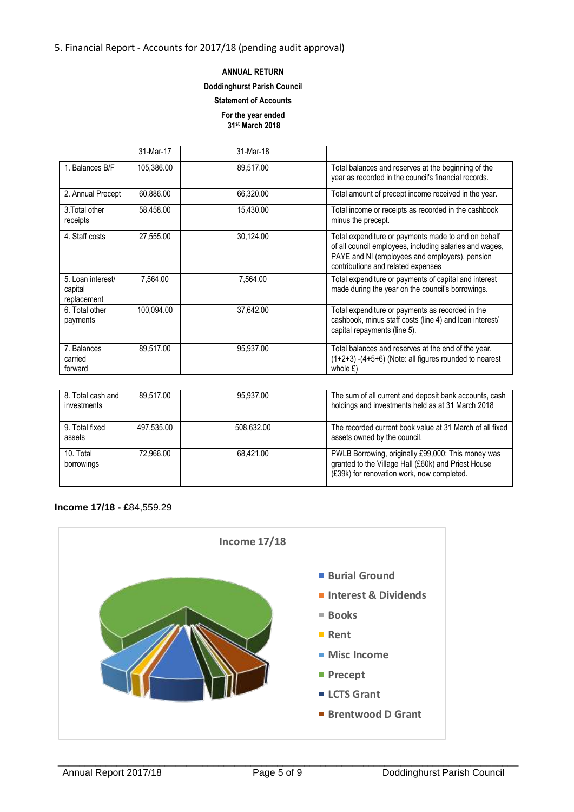## **ANNUAL RETURN**

#### **Doddinghurst Parish Council**

## **Statement of Accounts**

#### **For the year ended 31st March 2018**

|                                             | 31-Mar-17  | 31-Mar-18 |                                                                                                                                                                                                        |
|---------------------------------------------|------------|-----------|--------------------------------------------------------------------------------------------------------------------------------------------------------------------------------------------------------|
| 1. Balances B/F                             | 105,386.00 | 89,517.00 | Total balances and reserves at the beginning of the<br>year as recorded in the council's financial records.                                                                                            |
| 2. Annual Precept                           | 60,886.00  | 66,320.00 | Total amount of precept income received in the year.                                                                                                                                                   |
| 3. Total other<br>receipts                  | 58,458.00  | 15,430.00 | Total income or receipts as recorded in the cashbook<br>minus the precept.                                                                                                                             |
| 4. Staff costs                              | 27.555.00  | 30.124.00 | Total expenditure or payments made to and on behalf<br>of all council employees, including salaries and wages,<br>PAYE and NI (employees and employers), pension<br>contributions and related expenses |
| 5. Loan interest/<br>capital<br>replacement | 7.564.00   | 7.564.00  | Total expenditure or payments of capital and interest<br>made during the year on the council's borrowings.                                                                                             |
| 6. Total other<br>payments                  | 100,094.00 | 37,642.00 | Total expenditure or payments as recorded in the<br>cashbook, minus staff costs (line 4) and loan interest/<br>capital repayments (line 5).                                                            |
| 7. Balances<br>carried<br>forward           | 89,517.00  | 95,937.00 | Total balances and reserves at the end of the year.<br>$(1+2+3)$ -(4+5+6) (Note: all figures rounded to nearest<br>whole $E$ )                                                                         |

| 8. Total cash and<br>investments | 89.517.00  | 95.937.00  | The sum of all current and deposit bank accounts, cash<br>holdings and investments held as at 31 March 2018                                             |
|----------------------------------|------------|------------|---------------------------------------------------------------------------------------------------------------------------------------------------------|
| 9. Total fixed<br>assets         | 497.535.00 | 508.632.00 | The recorded current book value at 31 March of all fixed<br>assets owned by the council.                                                                |
| 10. Total<br>borrowings          | 72.966.00  | 68.421.00  | PWLB Borrowing, originally £99,000: This money was<br>granted to the Village Hall (£60k) and Priest House<br>(£39k) for renovation work, now completed. |

## **Income 17/18 - £**84,559.29

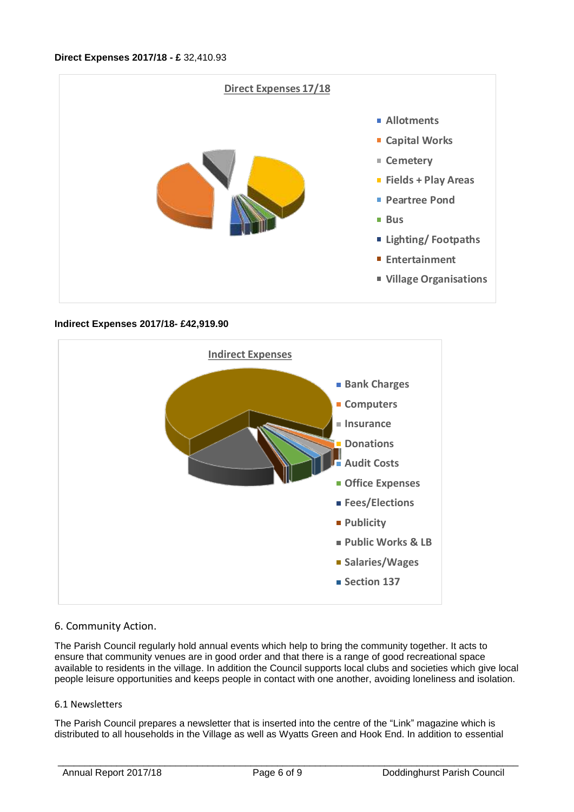

## **Indirect Expenses 2017/18- £42,919.90**



## 6. Community Action.

The Parish Council regularly hold annual events which help to bring the community together. It acts to ensure that community venues are in good order and that there is a range of good recreational space available to residents in the village. In addition the Council supports local clubs and societies which give local people leisure opportunities and keeps people in contact with one another, avoiding loneliness and isolation.

## 6.1 Newsletters

The Parish Council prepares a newsletter that is inserted into the centre of the "Link" magazine which is distributed to all households in the Village as well as Wyatts Green and Hook End. In addition to essential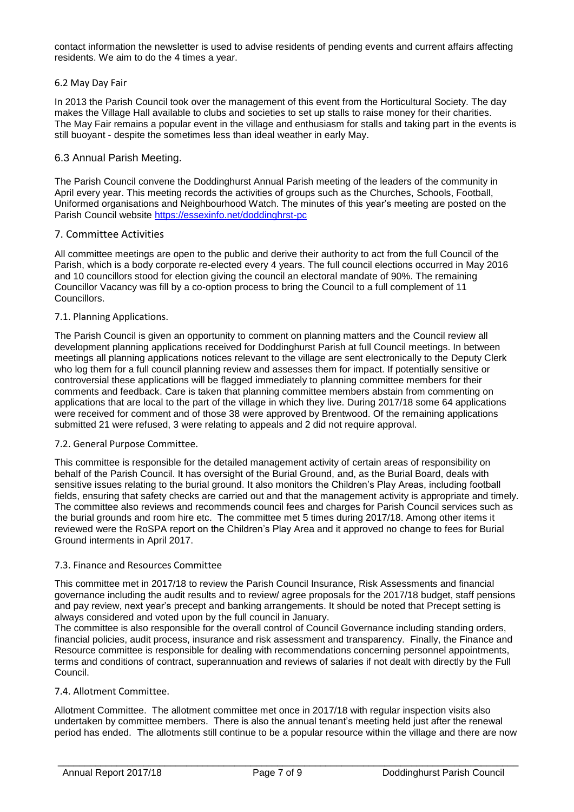contact information the newsletter is used to advise residents of pending events and current affairs affecting residents. We aim to do the 4 times a year.

## 6.2 May Day Fair

In 2013 the Parish Council took over the management of this event from the Horticultural Society. The day makes the Village Hall available to clubs and societies to set up stalls to raise money for their charities. The May Fair remains a popular event in the village and enthusiasm for stalls and taking part in the events is still buoyant - despite the sometimes less than ideal weather in early May.

## 6.3 Annual Parish Meeting.

The Parish Council convene the Doddinghurst Annual Parish meeting of the leaders of the community in April every year. This meeting records the activities of groups such as the Churches, Schools, Football, Uniformed organisations and Neighbourhood Watch. The minutes of this year's meeting are posted on the Parish Council website<https://essexinfo.net/doddinghrst-pc>

### 7. Committee Activities

All committee meetings are open to the public and derive their authority to act from the full Council of the Parish, which is a body corporate re-elected every 4 years. The full council elections occurred in May 2016 and 10 councillors stood for election giving the council an electoral mandate of 90%. The remaining Councillor Vacancy was fill by a co-option process to bring the Council to a full complement of 11 Councillors.

### 7.1. Planning Applications.

The Parish Council is given an opportunity to comment on planning matters and the Council review all development planning applications received for Doddinghurst Parish at full Council meetings. In between meetings all planning applications notices relevant to the village are sent electronically to the Deputy Clerk who log them for a full council planning review and assesses them for impact. If potentially sensitive or controversial these applications will be flagged immediately to planning committee members for their comments and feedback. Care is taken that planning committee members abstain from commenting on applications that are local to the part of the village in which they live. During 2017/18 some 64 applications were received for comment and of those 38 were approved by Brentwood. Of the remaining applications submitted 21 were refused, 3 were relating to appeals and 2 did not require approval.

#### 7.2. General Purpose Committee.

This committee is responsible for the detailed management activity of certain areas of responsibility on behalf of the Parish Council. It has oversight of the Burial Ground, and, as the Burial Board, deals with sensitive issues relating to the burial ground. It also monitors the Children's Play Areas, including football fields, ensuring that safety checks are carried out and that the management activity is appropriate and timely. The committee also reviews and recommends council fees and charges for Parish Council services such as the burial grounds and room hire etc. The committee met 5 times during 2017/18. Among other items it reviewed were the RoSPA report on the Children's Play Area and it approved no change to fees for Burial Ground interments in April 2017.

#### 7.3. Finance and Resources Committee

This committee met in 2017/18 to review the Parish Council Insurance, Risk Assessments and financial governance including the audit results and to review/ agree proposals for the 2017/18 budget, staff pensions and pay review, next year's precept and banking arrangements. It should be noted that Precept setting is always considered and voted upon by the full council in January.

The committee is also responsible for the overall control of Council Governance including standing orders, financial policies, audit process, insurance and risk assessment and transparency. Finally, the Finance and Resource committee is responsible for dealing with recommendations concerning personnel appointments, terms and conditions of contract, superannuation and reviews of salaries if not dealt with directly by the Full Council.

## 7.4. Allotment Committee.

Allotment Committee. The allotment committee met once in 2017/18 with regular inspection visits also undertaken by committee members. There is also the annual tenant's meeting held just after the renewal period has ended. The allotments still continue to be a popular resource within the village and there are now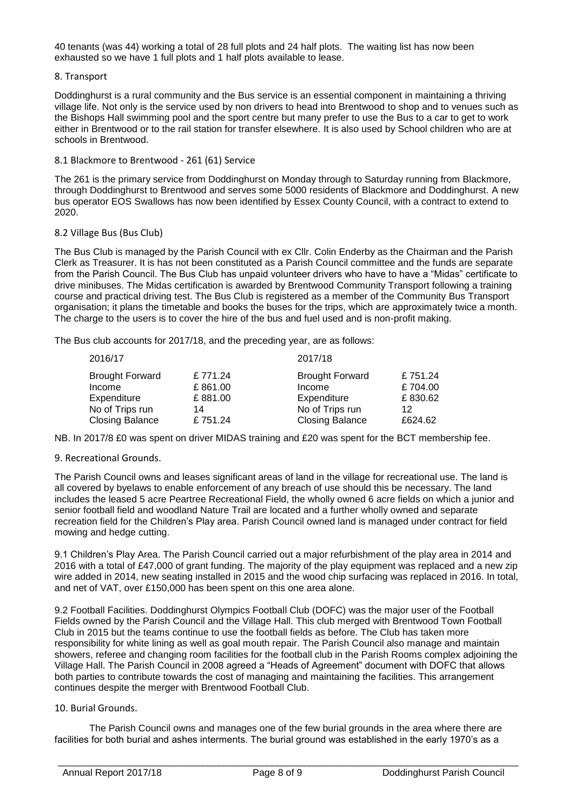40 tenants (was 44) working a total of 28 full plots and 24 half plots. The waiting list has now been exhausted so we have 1 full plots and 1 half plots available to lease.

## 8. Transport

Doddinghurst is a rural community and the Bus service is an essential component in maintaining a thriving village life. Not only is the service used by non drivers to head into Brentwood to shop and to venues such as the Bishops Hall swimming pool and the sport centre but many prefer to use the Bus to a car to get to work either in Brentwood or to the rail station for transfer elsewhere. It is also used by School children who are at schools in Brentwood.

### 8.1 Blackmore to Brentwood - 261 (61) Service

The 261 is the primary service from Doddinghurst on Monday through to Saturday running from Blackmore, through Doddinghurst to Brentwood and serves some 5000 residents of Blackmore and Doddinghurst. A new bus operator EOS Swallows has now been identified by Essex County Council, with a contract to extend to 2020.

### 8.2 Village Bus (Bus Club)

The Bus Club is managed by the Parish Council with ex Cllr. Colin Enderby as the Chairman and the Parish Clerk as Treasurer. It is has not been constituted as a Parish Council committee and the funds are separate from the Parish Council. The Bus Club has unpaid volunteer drivers who have to have a "Midas" certificate to drive minibuses. The Midas certification is awarded by Brentwood Community Transport following a training course and practical driving test. The Bus Club is registered as a member of the Community Bus Transport organisation; it plans the timetable and books the buses for the trips, which are approximately twice a month. The charge to the users is to cover the hire of the bus and fuel used and is non-profit making.

The Bus club accounts for 2017/18, and the preceding year, are as follows:

| 2016/17                |         | 2017/18                |         |  |  |
|------------------------|---------|------------------------|---------|--|--|
| <b>Brought Forward</b> | £771.24 | <b>Brought Forward</b> | £751.24 |  |  |
| Income                 | £861.00 | Income                 | £704.00 |  |  |
| Expenditure            | £881.00 | Expenditure            | £830.62 |  |  |
| No of Trips run        | 14      | No of Trips run        | 12      |  |  |
| <b>Closing Balance</b> | £751.24 | <b>Closing Balance</b> | £624.62 |  |  |

NB. In 2017/8 £0 was spent on driver MIDAS training and £20 was spent for the BCT membership fee.

#### 9. Recreational Grounds.

The Parish Council owns and leases significant areas of land in the village for recreational use. The land is all covered by byelaws to enable enforcement of any breach of use should this be necessary. The land includes the leased 5 acre Peartree Recreational Field, the wholly owned 6 acre fields on which a junior and senior football field and woodland Nature Trail are located and a further wholly owned and separate recreation field for the Children's Play area. Parish Council owned land is managed under contract for field mowing and hedge cutting.

9.1 Children's Play Area. The Parish Council carried out a major refurbishment of the play area in 2014 and 2016 with a total of £47,000 of grant funding. The majority of the play equipment was replaced and a new zip wire added in 2014, new seating installed in 2015 and the wood chip surfacing was replaced in 2016. In total, and net of VAT, over £150,000 has been spent on this one area alone.

9.2 Football Facilities. Doddinghurst Olympics Football Club (DOFC) was the major user of the Football Fields owned by the Parish Council and the Village Hall. This club merged with Brentwood Town Football Club in 2015 but the teams continue to use the football fields as before. The Club has taken more responsibility for white lining as well as goal mouth repair. The Parish Council also manage and maintain showers, referee and changing room facilities for the football club in the Parish Rooms complex adjoining the Village Hall. The Parish Council in 2008 agreed a "Heads of Agreement" document with DOFC that allows both parties to contribute towards the cost of managing and maintaining the facilities. This arrangement continues despite the merger with Brentwood Football Club.

#### 10. Burial Grounds.

The Parish Council owns and manages one of the few burial grounds in the area where there are facilities for both burial and ashes interments. The burial ground was established in the early 1970's as a